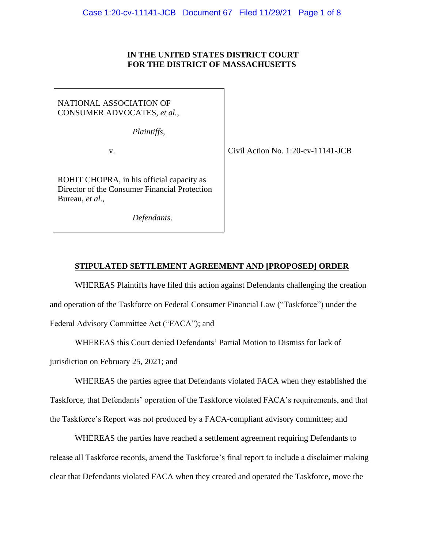# **IN THE UNITED STATES DISTRICT COURT FOR THE DISTRICT OF MASSACHUSETTS**

# NATIONAL ASSOCIATION OF CONSUMER ADVOCATES, *et al.*,

*Plaintiffs*,

ROHIT CHOPRA, in his official capacity as Director of the Consumer Financial Protection Bureau, *et al.,* 

*Defendants*.

v. Civil Action No. 1:20-cv-11141-JCB

## **STIPULATED SETTLEMENT AGREEMENT AND [PROPOSED] ORDER**

WHEREAS Plaintiffs have filed this action against Defendants challenging the creation and operation of the Taskforce on Federal Consumer Financial Law ("Taskforce") under the Federal Advisory Committee Act ("FACA"); and

WHEREAS this Court denied Defendants' Partial Motion to Dismiss for lack of

jurisdiction on February 25, 2021; and

WHEREAS the parties agree that Defendants violated FACA when they established the Taskforce, that Defendants' operation of the Taskforce violated FACA's requirements, and that the Taskforce's Report was not produced by a FACA-compliant advisory committee; and

WHEREAS the parties have reached a settlement agreement requiring Defendants to release all Taskforce records, amend the Taskforce's final report to include a disclaimer making clear that Defendants violated FACA when they created and operated the Taskforce, move the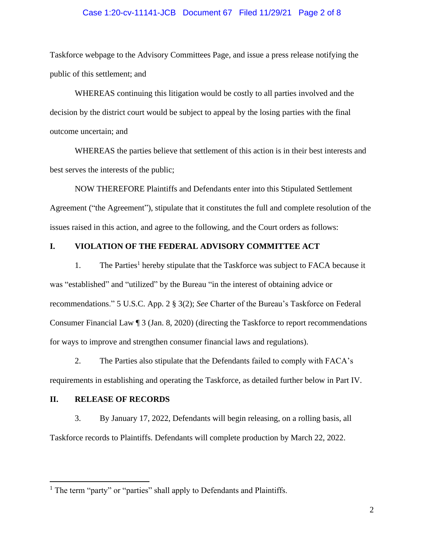### Case 1:20-cv-11141-JCB Document 67 Filed 11/29/21 Page 2 of 8

Taskforce webpage to the Advisory Committees Page, and issue a press release notifying the public of this settlement; and

WHEREAS continuing this litigation would be costly to all parties involved and the decision by the district court would be subject to appeal by the losing parties with the final outcome uncertain; and

WHEREAS the parties believe that settlement of this action is in their best interests and best serves the interests of the public;

NOW THEREFORE Plaintiffs and Defendants enter into this Stipulated Settlement Agreement ("the Agreement"), stipulate that it constitutes the full and complete resolution of the issues raised in this action, and agree to the following, and the Court orders as follows:

# **I. VIOLATION OF THE FEDERAL ADVISORY COMMITTEE ACT**

1. The Parties<sup>1</sup> hereby stipulate that the Taskforce was subject to FACA because it was "established" and "utilized" by the Bureau "in the interest of obtaining advice or recommendations." 5 U.S.C. App. 2 § 3(2); *See* Charter of the Bureau's Taskforce on Federal Consumer Financial Law ¶ 3 (Jan. 8, 2020) (directing the Taskforce to report recommendations for ways to improve and strengthen consumer financial laws and regulations).

2. The Parties also stipulate that the Defendants failed to comply with FACA's requirements in establishing and operating the Taskforce, as detailed further below in Part IV.

#### **II. RELEASE OF RECORDS**

3. By January 17, 2022, Defendants will begin releasing, on a rolling basis, all Taskforce records to Plaintiffs. Defendants will complete production by March 22, 2022.

<sup>&</sup>lt;sup>1</sup> The term "party" or "parties" shall apply to Defendants and Plaintiffs.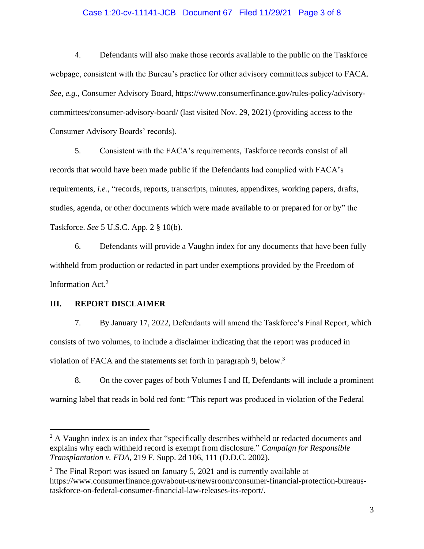## Case 1:20-cv-11141-JCB Document 67 Filed 11/29/21 Page 3 of 8

4. Defendants will also make those records available to the public on the Taskforce webpage, consistent with the Bureau's practice for other advisory committees subject to FACA. *See, e.g.*, Consumer Advisory Board, https://www.consumerfinance.gov/rules-policy/advisorycommittees/consumer-advisory-board/ (last visited Nov. 29, 2021) (providing access to the Consumer Advisory Boards' records).

5. Consistent with the FACA's requirements, Taskforce records consist of all records that would have been made public if the Defendants had complied with FACA's requirements, *i.e.*, "records, reports, transcripts, minutes, appendixes, working papers, drafts, studies, agenda, or other documents which were made available to or prepared for or by" the Taskforce. *See* 5 U.S.C. App. 2 § 10(b).

6. Defendants will provide a Vaughn index for any documents that have been fully withheld from production or redacted in part under exemptions provided by the Freedom of Information Act.<sup>2</sup>

## **III. REPORT DISCLAIMER**

7. By January 17, 2022, Defendants will amend the Taskforce's Final Report, which consists of two volumes, to include a disclaimer indicating that the report was produced in violation of FACA and the statements set forth in paragraph 9, below.<sup>3</sup>

8. On the cover pages of both Volumes I and II, Defendants will include a prominent warning label that reads in bold red font: "This report was produced in violation of the Federal

<sup>&</sup>lt;sup>2</sup> A Vaughn index is an index that "specifically describes withheld or redacted documents and explains why each withheld record is exempt from disclosure." *Campaign for Responsible Transplantation v. FDA*, 219 F. Supp. 2d 106, 111 (D.D.C. 2002).

<sup>&</sup>lt;sup>3</sup> The Final Report was issued on January 5, 2021 and is currently available at https://www.consumerfinance.gov/about-us/newsroom/consumer-financial-protection-bureaustaskforce-on-federal-consumer-financial-law-releases-its-report/.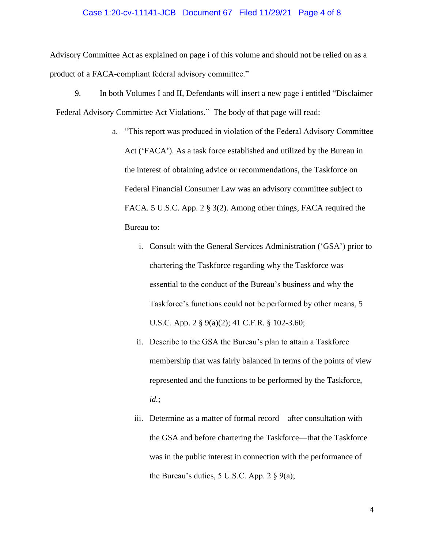#### Case 1:20-cv-11141-JCB Document 67 Filed 11/29/21 Page 4 of 8

Advisory Committee Act as explained on page i of this volume and should not be relied on as a product of a FACA-compliant federal advisory committee."

- 9. In both Volumes I and II, Defendants will insert a new page i entitled "Disclaimer – Federal Advisory Committee Act Violations." The body of that page will read:
	- a. "This report was produced in violation of the Federal Advisory Committee Act ('FACA'). As a task force established and utilized by the Bureau in the interest of obtaining advice or recommendations, the Taskforce on Federal Financial Consumer Law was an advisory committee subject to FACA. 5 U.S.C. App. 2 § 3(2). Among other things, FACA required the Bureau to:
		- i. Consult with the General Services Administration ('GSA') prior to chartering the Taskforce regarding why the Taskforce was essential to the conduct of the Bureau's business and why the Taskforce's functions could not be performed by other means, 5 U.S.C. App. 2 § 9(a)(2); 41 C.F.R. § 102-3.60;
		- ii. Describe to the GSA the Bureau's plan to attain a Taskforce membership that was fairly balanced in terms of the points of view represented and the functions to be performed by the Taskforce, *id.*;
		- iii. Determine as a matter of formal record—after consultation with the GSA and before chartering the Taskforce—that the Taskforce was in the public interest in connection with the performance of the Bureau's duties, 5 U.S.C. App. 2  $\S$  9(a);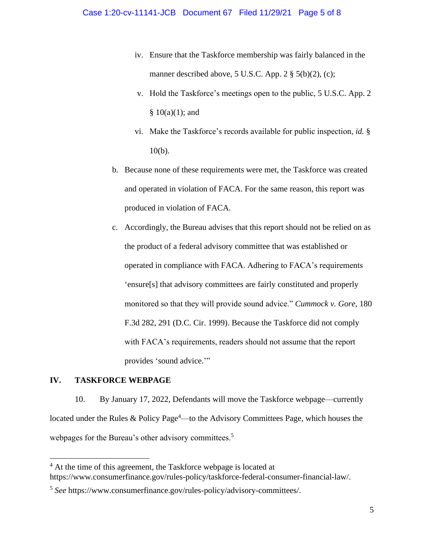- iv. Ensure that the Taskforce membership was fairly balanced in the manner described above, 5 U.S.C. App. 2  $\S$  5(b)(2), (c);
- v. Hold the Taskforce's meetings open to the public, 5 U.S.C. App. 2  $§ 10(a)(1);$  and
- vi. Make the Taskforce's records available for public inspection, *id.* § 10(b).
- b. Because none of these requirements were met, the Taskforce was created and operated in violation of FACA. For the same reason, this report was produced in violation of FACA.
- c. Accordingly, the Bureau advises that this report should not be relied on as the product of a federal advisory committee that was established or operated in compliance with FACA. Adhering to FACA's requirements 'ensure[s] that advisory committees are fairly constituted and properly monitored so that they will provide sound advice." *Cummock v. Gore*, 180 F.3d 282, 291 (D.C. Cir. 1999). Because the Taskforce did not comply with FACA's requirements, readers should not assume that the report provides 'sound advice."

# **IV. TASKFORCE WEBPAGE**

10. By January 17, 2022, Defendants will move the Taskforce webpage—currently located under the Rules & Policy Page<sup>4</sup>—to the Advisory Committees Page, which houses the webpages for the Bureau's other advisory committees.<sup>5</sup>

<sup>&</sup>lt;sup>4</sup> At the time of this agreement, the Taskforce webpage is located at https://www.consumerfinance.gov/rules-policy/taskforce-federal-consumer-financial-law/.

<sup>5</sup> *See* https://www.consumerfinance.gov/rules-policy/advisory-committees/.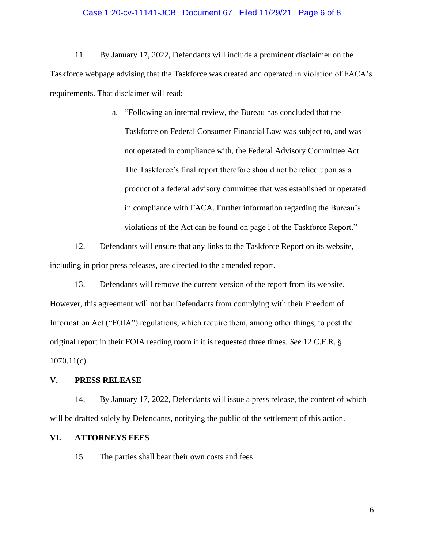#### Case 1:20-cv-11141-JCB Document 67 Filed 11/29/21 Page 6 of 8

11. By January 17, 2022, Defendants will include a prominent disclaimer on the Taskforce webpage advising that the Taskforce was created and operated in violation of FACA's requirements. That disclaimer will read:

> a. "Following an internal review, the Bureau has concluded that the Taskforce on Federal Consumer Financial Law was subject to, and was not operated in compliance with, the Federal Advisory Committee Act. The Taskforce's final report therefore should not be relied upon as a product of a federal advisory committee that was established or operated in compliance with FACA. Further information regarding the Bureau's violations of the Act can be found on page i of the Taskforce Report."

12. Defendants will ensure that any links to the Taskforce Report on its website, including in prior press releases, are directed to the amended report.

13. Defendants will remove the current version of the report from its website. However, this agreement will not bar Defendants from complying with their Freedom of Information Act ("FOIA") regulations, which require them, among other things, to post the original report in their FOIA reading room if it is requested three times. *See* 12 C.F.R. § 1070.11(c).

## **V. PRESS RELEASE**

14. By January 17, 2022, Defendants will issue a press release, the content of which will be drafted solely by Defendants, notifying the public of the settlement of this action.

### **VI. ATTORNEYS FEES**

15. The parties shall bear their own costs and fees.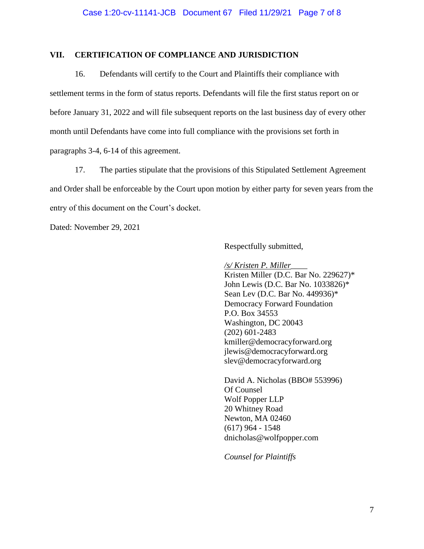## **VII. CERTIFICATION OF COMPLIANCE AND JURISDICTION**

16. Defendants will certify to the Court and Plaintiffs their compliance with settlement terms in the form of status reports. Defendants will file the first status report on or before January 31, 2022 and will file subsequent reports on the last business day of every other month until Defendants have come into full compliance with the provisions set forth in paragraphs 3-4, 6-14 of this agreement.

17. The parties stipulate that the provisions of this Stipulated Settlement Agreement and Order shall be enforceable by the Court upon motion by either party for seven years from the entry of this document on the Court's docket.

Dated: November 29, 2021

Respectfully submitted,

*/s/ Kristen P. Miller*\_\_\_\_

Kristen Miller (D.C. Bar No. 229627)\* John Lewis (D.C. Bar No. 1033826)\* Sean Lev (D.C. Bar No. 449936)\* Democracy Forward Foundation P.O. Box 34553 Washington, DC 20043 (202) 601-2483 kmiller@democracyforward.org jlewis@democracyforward.org slev@democracyforward.org

David A. Nicholas (BBO# 553996) Of Counsel Wolf Popper LLP 20 Whitney Road Newton, MA 02460 (617) 964 - 1548 dnicholas@wolfpopper.com

*Counsel for Plaintiffs*